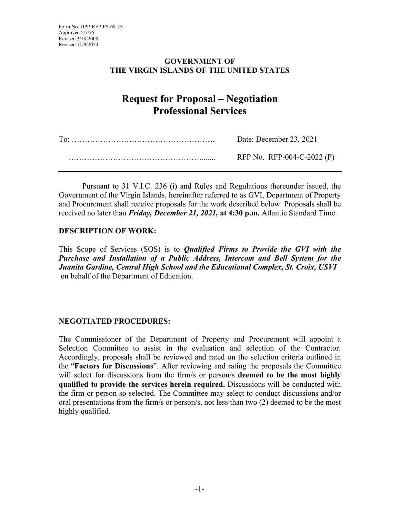### **GOVERNMENT OF THE VIRGIN ISLANDS OF THE UNITED STATES**

# **Request for Proposal – Negotiation Professional Services**

| Date: December 23, 2021    |  |
|----------------------------|--|
| RFP No. RFP-004-C-2022 (P) |  |

Pursuant to 31 V.I.C. 236 **(i)** and Rules and Regulations thereunder issued, the Government of the Virgin Islands, hereinafter referred to as GVI, Department of Property and Procurement shall receive proposals for the work described below. Proposals shall be received no later than *Friday, December 21, 2021,* **at 4:30 p.m.** Atlantic Standard Time.

### **DESCRIPTION OF WORK:**

This Scope of Services (SOS) is to *Qualified Firms to Provide the GVI with the Purchase and Installation of a Public Address, Intercom and Bell System for the Juanita Gardine, Central High School and the Educational Complex, St. Croix, USVI* on behalf of the Department of Education.

# **NEGOTIATED PROCEDURES:**

The Commissioner of the Department of Property and Procurement will appoint a Selection Committee to assist in the evaluation and selection of the Contractor. Accordingly, proposals shall be reviewed and rated on the selection criteria outlined in the "**Factors for Discussions**". After reviewing and rating the proposals the Committee will select for discussions from the firm/s or person/s **deemed to be the most highly qualified to provide the services herein required.** Discussions will be conducted with the firm or person so selected. The Committee may select to conduct discussions and/or oral presentations from the firm/s or person/s, not less than two (2) deemed to be the most highly qualified.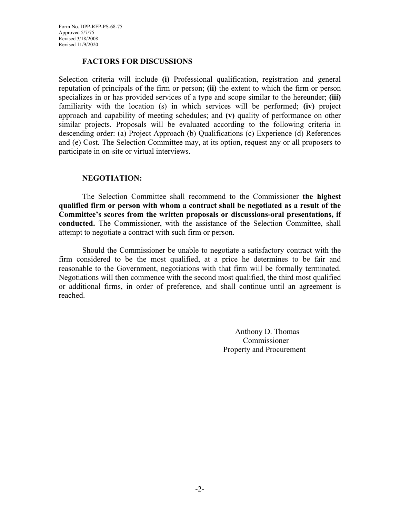#### **FACTORS FOR DISCUSSIONS**

Selection criteria will include **(i)** Professional qualification, registration and general reputation of principals of the firm or person; **(ii)** the extent to which the firm or person specializes in or has provided services of a type and scope similar to the hereunder; **(iii)** familiarity with the location (s) in which services will be performed; **(iv)** project approach and capability of meeting schedules; and **(v)** quality of performance on other similar projects. Proposals will be evaluated according to the following criteria in descending order: (a) Project Approach (b) Qualifications (c) Experience (d) References and (e) Cost. The Selection Committee may, at its option, request any or all proposers to participate in on-site or virtual interviews.

#### **NEGOTIATION:**

The Selection Committee shall recommend to the Commissioner **the highest qualified firm or person with whom a contract shall be negotiated as a result of the Committee's scores from the written proposals or discussions-oral presentations, if conducted.** The Commissioner, with the assistance of the Selection Committee, shall attempt to negotiate a contract with such firm or person.

Should the Commissioner be unable to negotiate a satisfactory contract with the firm considered to be the most qualified, at a price he determines to be fair and reasonable to the Government, negotiations with that firm will be formally terminated. Negotiations will then commence with the second most qualified, the third most qualified or additional firms, in order of preference, and shall continue until an agreement is reached.

> Anthony D. Thomas Commissioner Property and Procurement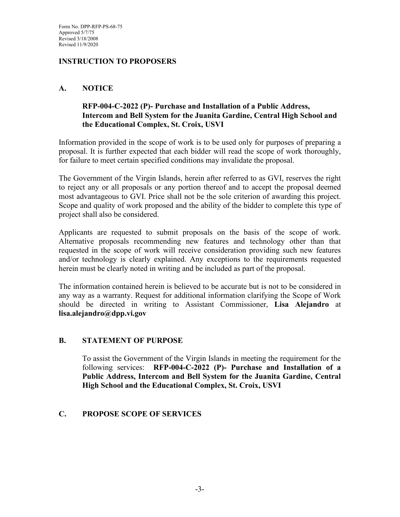### **INSTRUCTION TO PROPOSERS**

### **A. NOTICE**

### **RFP-004-C-2022 (P)- Purchase and Installation of a Public Address, Intercom and Bell System for the Juanita Gardine, Central High School and the Educational Complex, St. Croix, USVI**

Information provided in the scope of work is to be used only for purposes of preparing a proposal. It is further expected that each bidder will read the scope of work thoroughly, for failure to meet certain specified conditions may invalidate the proposal.

The Government of the Virgin Islands, herein after referred to as GVI, reserves the right to reject any or all proposals or any portion thereof and to accept the proposal deemed most advantageous to GVI. Price shall not be the sole criterion of awarding this project. Scope and quality of work proposed and the ability of the bidder to complete this type of project shall also be considered.

Applicants are requested to submit proposals on the basis of the scope of work. Alternative proposals recommending new features and technology other than that requested in the scope of work will receive consideration providing such new features and/or technology is clearly explained. Any exceptions to the requirements requested herein must be clearly noted in writing and be included as part of the proposal.

The information contained herein is believed to be accurate but is not to be considered in any way as a warranty. Request for additional information clarifying the Scope of Work should be directed in writing to Assistant Commissioner, **Lisa Alejandro** at **lisa.alejandro@dpp.vi.gov**

#### **B. STATEMENT OF PURPOSE**

To assist the Government of the Virgin Islands in meeting the requirement for the following services: **RFP-004-C-2022 (P)- Purchase and Installation of a Public Address, Intercom and Bell System for the Juanita Gardine, Central High School and the Educational Complex, St. Croix, USVI**

### **C. PROPOSE SCOPE OF SERVICES**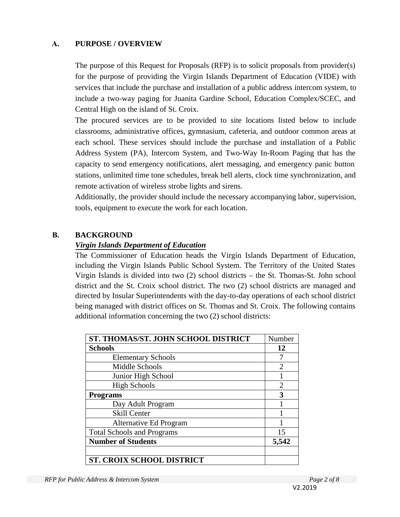### **A. PURPOSE / OVERVIEW**

The purpose of this Request for Proposals (RFP) is to solicit proposals from provider(s) for the purpose of providing the Virgin Islands Department of Education (VIDE) with services that include the purchase and installation of a public address intercom system, to include a two-way paging for Juanita Gardine School, Education Complex/SCEC, and Central High on the island of St. Croix.

The procured services are to be provided to site locations listed below to include classrooms, administrative offices, gymnasium, cafeteria, and outdoor common areas at each school. These services should include the purchase and installation of a Public Address System (PA), Intercom System, and Two-Way In-Room Paging that has the capacity to send emergency notifications, alert messaging, and emergency panic button stations, unlimited time tone schedules, break bell alerts, clock time synchronization, and remote activation of wireless strobe lights and sirens.

Additionally, the provider should include the necessary accompanying labor, supervision, tools, equipment to execute the work for each location.

#### **B. BACKGROUND**

#### *Virgin Islands Department of Education*

The Commissioner of Education heads the Virgin Islands Department of Education, including the Virgin Islands Public School System. The Territory of the United States Virgin Islands is divided into two (2) school districts – the St. Thomas-St. John school district and the St. Croix school district. The two (2) school districts are managed and directed by Insular Superintendents with the day-to-day operations of each school district being managed with district offices on St. Thomas and St. Croix. The following contains additional information concerning the two (2) school districts:

| <b>ST. THOMAS/ST. JOHN SCHOOL DISTRICT</b> | Number                      |
|--------------------------------------------|-----------------------------|
| <b>Schools</b>                             | 12                          |
| <b>Elementary Schools</b>                  |                             |
| Middle Schools                             | $\overline{2}$              |
| Junior High School                         |                             |
| <b>High Schools</b>                        | $\mathcal{D}_{\mathcal{L}}$ |
| <b>Programs</b>                            | 3                           |
| Day Adult Program                          |                             |
| <b>Skill Center</b>                        |                             |
| Alternative Ed Program                     |                             |
| <b>Total Schools and Programs</b>          | 15                          |
| <b>Number of Students</b>                  | 5,542                       |
|                                            |                             |
| <b>ST. CROIX SCHOOL DISTRICT</b>           |                             |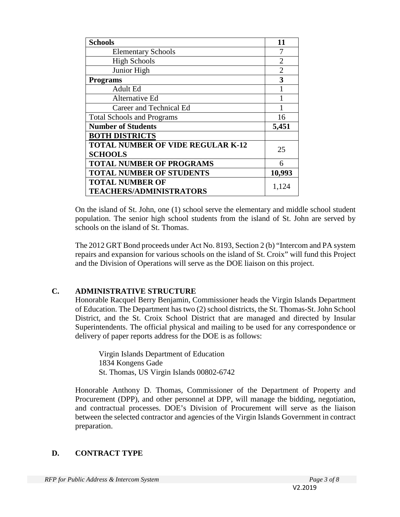| <b>Schools</b>                           | 11             |
|------------------------------------------|----------------|
| <b>Elementary Schools</b>                | 7              |
| <b>High Schools</b>                      | $\mathfrak{D}$ |
| Junior High                              | $\overline{2}$ |
| <b>Programs</b>                          | 3              |
| Adult Ed                                 |                |
| Alternative Ed                           |                |
| Career and Technical Ed                  |                |
| <b>Total Schools and Programs</b>        | 16             |
| <b>Number of Students</b>                | 5,451          |
| <b>BOTH DISTRICTS</b>                    |                |
| <b>TOTAL NUMBER OF VIDE REGULAR K-12</b> | 25             |
| <b>SCHOOLS</b>                           |                |
| <b>TOTAL NUMBER OF PROGRAMS</b>          | 6              |
| <b>TOTAL NUMBER OF STUDENTS</b>          | 10,993         |
| <b>TOTAL NUMBER OF</b>                   | 1,124          |
| <b>TEACHERS/ADMINISTRATORS</b>           |                |

On the island of St. John, one (1) school serve the elementary and middle school student population. The senior high school students from the island of St. John are served by schools on the island of St. Thomas.

The 2012 GRT Bond proceeds under Act No. 8193, Section 2 (b) "Intercom and PA system repairs and expansion for various schools on the island of St. Croix" will fund this Project and the Division of Operations will serve as the DOE liaison on this project.

# **C. ADMINISTRATIVE STRUCTURE**

Honorable Racquel Berry Benjamin, Commissioner heads the Virgin Islands Department of Education. The Department has two (2) school districts, the St. Thomas-St. John School District, and the St. Croix School District that are managed and directed by Insular Superintendents. The official physical and mailing to be used for any correspondence or delivery of paper reports address for the DOE is as follows:

Virgin Islands Department of Education 1834 Kongens Gade St. Thomas, US Virgin Islands 00802-6742

Honorable Anthony D. Thomas, Commissioner of the Department of Property and Procurement (DPP), and other personnel at DPP, will manage the bidding, negotiation, and contractual processes. DOE's Division of Procurement will serve as the liaison between the selected contractor and agencies of the Virgin Islands Government in contract preparation.

# **D. CONTRACT TYPE**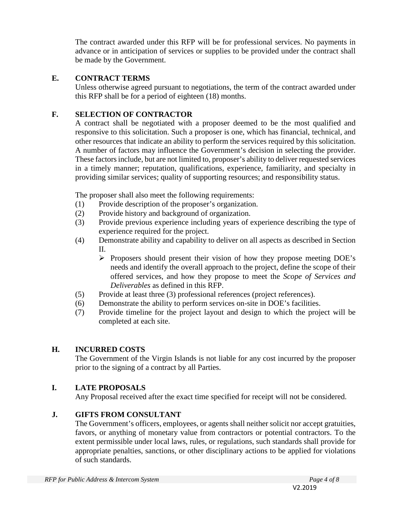The contract awarded under this RFP will be for professional services. No payments in advance or in anticipation of services or supplies to be provided under the contract shall be made by the Government.

### **E. CONTRACT TERMS**

Unless otherwise agreed pursuant to negotiations, the term of the contract awarded under this RFP shall be for a period of eighteen (18) months.

# **F. SELECTION OF CONTRACTOR**

A contract shall be negotiated with a proposer deemed to be the most qualified and responsive to this solicitation. Such a proposer is one, which has financial, technical, and other resources that indicate an ability to perform the services required by this solicitation. A number of factors may influence the Government's decision in selecting the provider. These factors include, but are not limited to, proposer's ability to deliver requested services in a timely manner; reputation, qualifications, experience, familiarity, and specialty in providing similar services; quality of supporting resources; and responsibility status.

The proposer shall also meet the following requirements:

- (1) Provide description of the proposer's organization.
- (2) Provide history and background of organization.
- (3) Provide previous experience including years of experience describing the type of experience required for the project.
- (4) Demonstrate ability and capability to deliver on all aspects as described in Section II.
	- $\triangleright$  Proposers should present their vision of how they propose meeting DOE's needs and identify the overall approach to the project, define the scope of their offered services, and how they propose to meet the *Scope of Services and Deliverables* as defined in this RFP.
- (5) Provide at least three (3) professional references (project references).
- (6) Demonstrate the ability to perform services on-site in DOE's facilities.
- (7) Provide timeline for the project layout and design to which the project will be completed at each site.

# **H. INCURRED COSTS**

The Government of the Virgin Islands is not liable for any cost incurred by the proposer prior to the signing of a contract by all Parties.

# **I. LATE PROPOSALS**

Any Proposal received after the exact time specified for receipt will not be considered.

# **J. GIFTS FROM CONSULTANT**

The Government's officers, employees, or agents shall neither solicit nor accept gratuities, favors, or anything of monetary value from contractors or potential contractors. To the extent permissible under local laws, rules, or regulations, such standards shall provide for appropriate penalties, sanctions, or other disciplinary actions to be applied for violations of such standards.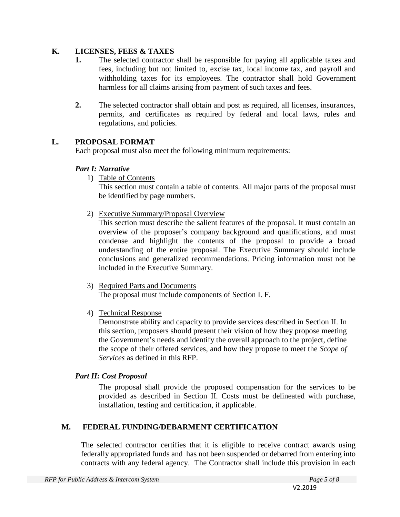### **K. LICENSES, FEES & TAXES**

- **1.** The selected contractor shall be responsible for paying all applicable taxes and fees, including but not limited to, excise tax, local income tax, and payroll and withholding taxes for its employees. The contractor shall hold Government harmless for all claims arising from payment of such taxes and fees.
- **2.** The selected contractor shall obtain and post as required, all licenses, insurances, permits, and certificates as required by federal and local laws, rules and regulations, and policies.

### **L. PROPOSAL FORMAT**

Each proposal must also meet the following minimum requirements:

# *Part I: Narrative*

1) Table of Contents

This section must contain a table of contents. All major parts of the proposal must be identified by page numbers.

2) Executive Summary/Proposal Overview

This section must describe the salient features of the proposal. It must contain an overview of the proposer's company background and qualifications, and must condense and highlight the contents of the proposal to provide a broad understanding of the entire proposal. The Executive Summary should include conclusions and generalized recommendations. Pricing information must not be included in the Executive Summary.

3) Required Parts and Documents

The proposal must include components of Section I. F.

4) Technical Response

Demonstrate ability and capacity to provide services described in Section II. In this section, proposers should present their vision of how they propose meeting the Government's needs and identify the overall approach to the project, define the scope of their offered services, and how they propose to meet the *Scope of Services* as defined in this RFP.

# *Part II: Cost Proposal*

The proposal shall provide the proposed compensation for the services to be provided as described in Section II. Costs must be delineated with purchase, installation, testing and certification, if applicable.

# **M. FEDERAL FUNDING/DEBARMENT CERTIFICATION**

The selected contractor certifies that it is eligible to receive contract awards using federally appropriated funds and has not been suspended or debarred from entering into contracts with any federal agency. The Contractor shall include this provision in each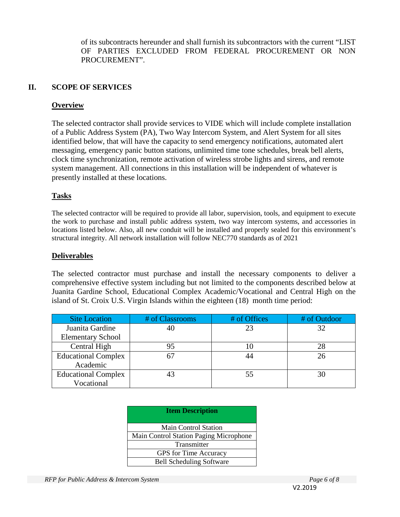of its subcontracts hereunder and shall furnish its subcontractors with the current "LIST OF PARTIES EXCLUDED FROM FEDERAL PROCUREMENT OR NON PROCUREMENT".

# **II. SCOPE OF SERVICES**

#### **Overview**

The selected contractor shall provide services to VIDE which will include complete installation of a Public Address System (PA), Two Way Intercom System, and Alert System for all sites identified below, that will have the capacity to send emergency notifications, automated alert messaging, emergency panic button stations, unlimited time tone schedules, break bell alerts, clock time synchronization, remote activation of wireless strobe lights and sirens, and remote system management. All connections in this installation will be independent of whatever is presently installed at these locations.

### **Tasks**

The selected contractor will be required to provide all labor, supervision, tools, and equipment to execute the work to purchase and install public address system, two way intercom systems, and accessories in locations listed below. Also, all new conduit will be installed and properly sealed for this environment's structural integrity. All network installation will follow NEC770 standards as of 2021

### **Deliverables**

The selected contractor must purchase and install the necessary components to deliver a comprehensive effective system including but not limited to the components described below at Juanita Gardine School, Educational Complex Academic/Vocational and Central High on the island of St. Croix U.S. Virgin Islands within the eighteen (18) month time period:

| <b>Site Location</b>       | # of Classrooms | # of Offices | # of Outdoor |
|----------------------------|-----------------|--------------|--------------|
| Juanita Gardine            |                 | 23           | 32           |
| <b>Elementary School</b>   |                 |              |              |
| Central High               |                 | 10           | 28           |
| <b>Educational Complex</b> |                 | 44           | 26           |
| Academic                   |                 |              |              |
| <b>Educational Complex</b> |                 | 55           | 30           |
| Vocational                 |                 |              |              |

| <b>Item Description</b>                       |  |
|-----------------------------------------------|--|
| <b>Main Control Station</b>                   |  |
| <b>Main Control Station Paging Microphone</b> |  |
| Transmitter                                   |  |
| GPS for Time Accuracy                         |  |
| <b>Bell Scheduling Software</b>               |  |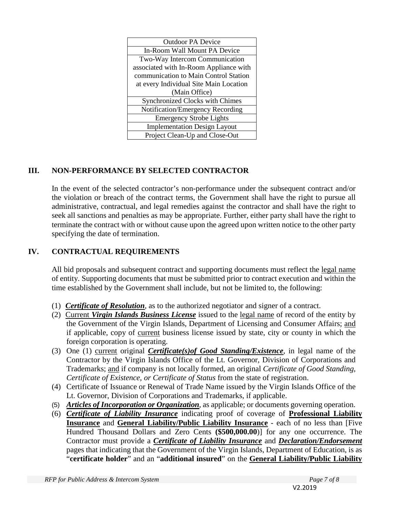| <b>Outdoor PA Device</b>               |  |
|----------------------------------------|--|
| In-Room Wall Mount PA Device           |  |
| Two-Way Intercom Communication         |  |
| associated with In-Room Appliance with |  |
| communication to Main Control Station  |  |
| at every Individual Site Main Location |  |
| (Main Office)                          |  |
| <b>Synchronized Clocks with Chimes</b> |  |
| Notification/Emergency Recording       |  |
| <b>Emergency Strobe Lights</b>         |  |
|                                        |  |
| <b>Implementation Design Layout</b>    |  |

# **III. NON-PERFORMANCE BY SELECTED CONTRACTOR**

In the event of the selected contractor's non-performance under the subsequent contract and/or the violation or breach of the contract terms, the Government shall have the right to pursue all administrative, contractual, and legal remedies against the contractor and shall have the right to seek all sanctions and penalties as may be appropriate. Further, either party shall have the right to terminate the contract with or without cause upon the agreed upon written notice to the other party specifying the date of termination.

# **IV. CONTRACTUAL REQUIREMENTS**

All bid proposals and subsequent contract and supporting documents must reflect the legal name of entity. Supporting documents that must be submitted prior to contract execution and within the time established by the Government shall include, but not be limited to, the following:

- (1) *Certificate of Resolution*, as to the authorized negotiator and signer of a contract.
- (2) Current *Virgin Islands Business License* issued to the legal name of record of the entity by the Government of the Virgin Islands, Department of Licensing and Consumer Affairs; and if applicable, copy of current business license issued by state, city or county in which the foreign corporation is operating.
- (3) One (1) current original *Certificate(s)of Good Standing/Existence*, in legal name of the Contractor by the Virgin Islands Office of the Lt. Governor, Division of Corporations and Trademarks; and if company is not locally formed, an original *Certificate of Good Standing, Certificate of Existence, or Certificate of Status* from the state of registration.
- (4) Certificate of Issuance or Renewal of Trade Name issued by the Virgin Islands Office of the Lt. Governor, Division of Corporations and Trademarks, if applicable.
- (5) *Articles of Incorporation or Organization*, as applicable; or documents governing operation.
- (6) *Certificate of Liability Insurance* indicating proof of coverage of **Professional Liability Insurance** and **General Liability/Public Liability Insurance** - each of no less than [Five Hundred Thousand Dollars and Zero Cents **(\$500,000.00**)] for any one occurrence. The Contractor must provide a *Certificate of Liability Insurance* and *Declaration/Endorsement* pages that indicating that the Government of the Virgin Islands, Department of Education, is as "**certificate holder**" and an "**additional insured**" on the **General Liability/Public Liability**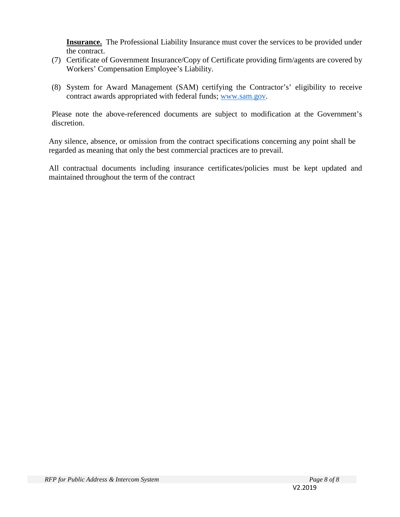**Insurance.** The Professional Liability Insurance must cover the services to be provided under the contract.

- (7) Certificate of Government Insurance/Copy of Certificate providing firm/agents are covered by Workers' Compensation Employee's Liability.
- (8) System for Award Management (SAM) certifying the Contractor's' eligibility to receive contract awards appropriated with federal funds; [www.sam.gov.](http://www.sam.gov/)

Please note the above-referenced documents are subject to modification at the Government's discretion.

Any silence, absence, or omission from the contract specifications concerning any point shall be regarded as meaning that only the best commercial practices are to prevail.

All contractual documents including insurance certificates/policies must be kept updated and maintained throughout the term of the contract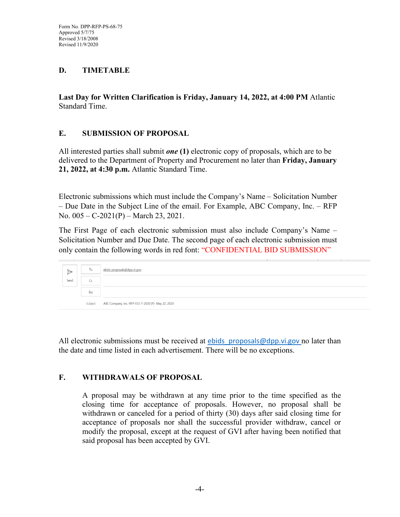### **D. TIMETABLE**

**Last Day for Written Clarification is Friday, January 14, 2022, at 4:00 PM** Atlantic Standard Time.

#### **E. SUBMISSION OF PROPOSAL**

All interested parties shall submit *one* **(1)** electronic copy of proposals, which are to be delivered to the Department of Property and Procurement no later than **Friday, January 21, 2022, at 4:30 p.m.** Atlantic Standard Time.

Electronic submissions which must include the Company's Name – Solicitation Number – Due Date in the Subject Line of the email. For Example, ABC Company, Inc. – RFP No. 005 – C-2021(P) – March 23, 2021.

The First Page of each electronic submission must also include Company's Name – Solicitation Number and Due Date. The second page of each electronic submission must only contain the following words in red font: "CONFIDENTIAL BID SUBMISSION"

| →    | To      | ebids proposals@dpp.vi.gov;                        |
|------|---------|----------------------------------------------------|
| Send | Cc      |                                                    |
|      | Bcc     |                                                    |
|      | Subject | ABC Company, Inc.-RFP-033-T-2020 (P)- May 22, 2020 |

All electronic submissions must be received at  $ebids$  proposals@dpp.vi.gov no later than the date and time listed in each advertisement. There will be no exceptions.

### **F. WITHDRAWALS OF PROPOSAL**

A proposal may be withdrawn at any time prior to the time specified as the closing time for acceptance of proposals. However, no proposal shall be withdrawn or canceled for a period of thirty (30) days after said closing time for acceptance of proposals nor shall the successful provider withdraw, cancel or modify the proposal, except at the request of GVI after having been notified that said proposal has been accepted by GVI.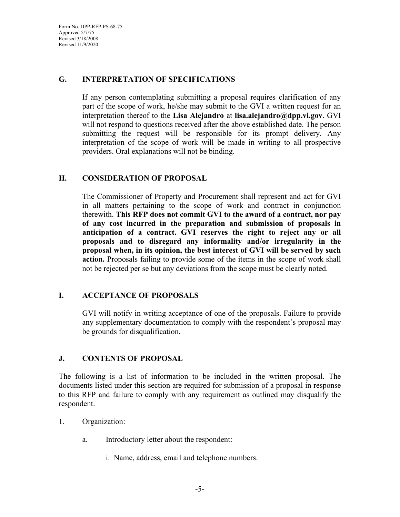Form No. DPP-RFP-PS-68-75 Approved 5/7/75 Revised 3/18/2008 Revised 11/9/2020

#### **G. INTERPRETATION OF SPECIFICATIONS**

If any person contemplating submitting a proposal requires clarification of any part of the scope of work, he/she may submit to the GVI a written request for an interpretation thereof to the **Lisa Alejandro** at **lisa.alejandro@dpp.vi.gov**. GVI will not respond to questions received after the above established date. The person submitting the request will be responsible for its prompt delivery. Any interpretation of the scope of work will be made in writing to all prospective providers. Oral explanations will not be binding.

### **H. CONSIDERATION OF PROPOSAL**

The Commissioner of Property and Procurement shall represent and act for GVI in all matters pertaining to the scope of work and contract in conjunction therewith. **This RFP does not commit GVI to the award of a contract, nor pay of any cost incurred in the preparation and submission of proposals in anticipation of a contract. GVI reserves the right to reject any or all proposals and to disregard any informality and/or irregularity in the proposal when, in its opinion, the best interest of GVI will be served by such action.** Proposals failing to provide some of the items in the scope of work shall not be rejected per se but any deviations from the scope must be clearly noted.

#### **I. ACCEPTANCE OF PROPOSALS**

GVI will notify in writing acceptance of one of the proposals. Failure to provide any supplementary documentation to comply with the respondent's proposal may be grounds for disqualification.

#### **J. CONTENTS OF PROPOSAL**

The following is a list of information to be included in the written proposal. The documents listed under this section are required for submission of a proposal in response to this RFP and failure to comply with any requirement as outlined may disqualify the respondent.

- 1. Organization:
	- a. Introductory letter about the respondent:
		- i. Name, address, email and telephone numbers.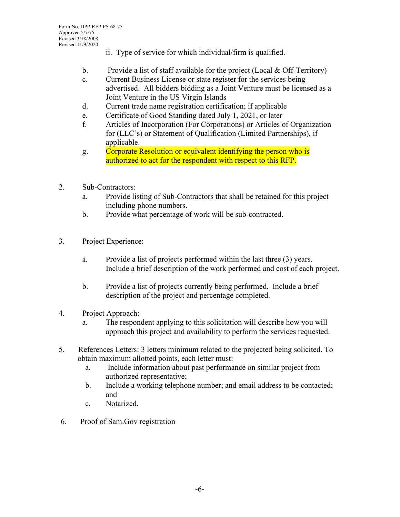- ii. Type of service for which individual/firm is qualified.
- b. Provide a list of staff available for the project (Local & Off-Territory)
- c. Current Business License or state register for the services being advertised. All bidders bidding as a Joint Venture must be licensed as a Joint Venture in the US Virgin Islands
- d. Current trade name registration certification; if applicable
- e. Certificate of Good Standing dated July 1, 2021, or later
- f. Articles of Incorporation (For Corporations) or Articles of Organization for (LLC's) or Statement of Qualification (Limited Partnerships), if applicable.
- g. Corporate Resolution or equivalent identifying the person who is authorized to act for the respondent with respect to this RFP.
- 2. Sub-Contractors:
	- a. Provide listing of Sub-Contractors that shall be retained for this project including phone numbers.
	- b. Provide what percentage of work will be sub-contracted.
- 3. Project Experience:
	- a. Provide a list of projects performed within the last three (3) years. Include a brief description of the work performed and cost of each project.
	- b. Provide a list of projects currently being performed. Include a brief description of the project and percentage completed.
- 4. Project Approach:
	- a. The respondent applying to this solicitation will describe how you will approach this project and availability to perform the services requested.
- 5. References Letters: 3 letters minimum related to the projected being solicited. To obtain maximum allotted points, each letter must:
	- a. Include information about past performance on similar project from authorized representative;
	- b. Include a working telephone number; and email address to be contacted; and
	- c. Notarized.
- 6. Proof of Sam.Gov registration